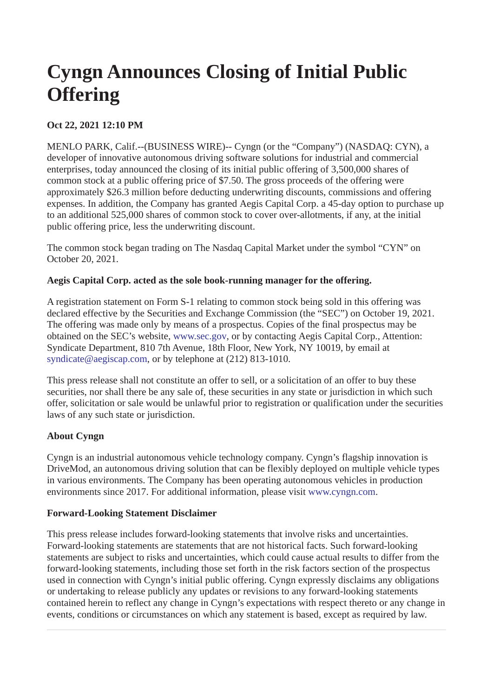# **Cyngn Announces Closing of Initial Public Offering**

## **Oct 22, 2021 12:10 PM**

MENLO PARK, Calif.--(BUSINESS WIRE)-- Cyngn (or the "Company") (NASDAQ: CYN), a developer of innovative autonomous driving software solutions for industrial and commercial enterprises, today announced the closing of its initial public offering of 3,500,000 shares of common stock at a public offering price of \$7.50. The gross proceeds of the offering were approximately \$26.3 million before deducting underwriting discounts, commissions and offering expenses. In addition, the Company has granted Aegis Capital Corp. a 45-day option to purchase up to an additional 525,000 shares of common stock to cover over-allotments, if any, at the initial public offering price, less the underwriting discount.

The common stock began trading on The Nasdaq Capital Market under the symbol "CYN" on October 20, 2021.

### **Aegis Capital Corp. acted as the sole book-running manager for the offering.**

A registration statement on Form S-1 relating to common stock being sold in this offering was declared effective by the Securities and Exchange Commission (the "SEC") on October 19, 2021. The offering was made only by means of a prospectus. Copies of the final prospectus may be obtained on the SEC's website, [www.sec.gov,](https://cts.businesswire.com/ct/CT?id=smartlink&url=http%3A%2F%2Fwww.sec.gov&esheet=52514054&newsitemid=20211022005405&lan=en-US&anchor=www.sec.gov&index=1&md5=fc562178036f04a14086a9511bec97c1) or by contacting Aegis Capital Corp., Attention: Syndicate Department, 810 7th Avenue, 18th Floor, New York, NY 10019, by email at [syndicate@aegiscap.com,](mailto:syndicate@aegiscap.com) or by telephone at (212) 813-1010.

This press release shall not constitute an offer to sell, or a solicitation of an offer to buy these securities, nor shall there be any sale of, these securities in any state or jurisdiction in which such offer, solicitation or sale would be unlawful prior to registration or qualification under the securities laws of any such state or jurisdiction.

## **About Cyngn**

Cyngn is an industrial autonomous vehicle technology company. Cyngn's flagship innovation is DriveMod, an autonomous driving solution that can be flexibly deployed on multiple vehicle types in various environments. The Company has been operating autonomous vehicles in production environments since 2017. For additional information, please visit [www.cyngn.com.](https://cts.businesswire.com/ct/CT?id=smartlink&url=http%3A%2F%2Fwww.cyngn.com&esheet=52514054&newsitemid=20211022005405&lan=en-US&anchor=www.cyngn.com&index=2&md5=2cc55c4b508f44682157bd4e4588d820)

#### **Forward-Looking Statement Disclaimer**

This press release includes forward-looking statements that involve risks and uncertainties. Forward-looking statements are statements that are not historical facts. Such forward-looking statements are subject to risks and uncertainties, which could cause actual results to differ from the forward-looking statements, including those set forth in the risk factors section of the prospectus used in connection with Cyngn's initial public offering. Cyngn expressly disclaims any obligations or undertaking to release publicly any updates or revisions to any forward-looking statements contained herein to reflect any change in Cyngn's expectations with respect thereto or any change in events, conditions or circumstances on which any statement is based, except as required by law.